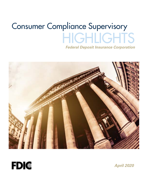# Consumer Compliance Supervisory **HIGHLIGHTS** *Federal Deposit Insurance Corporation*





*April 2020*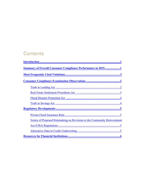# **Contents**

| <b>Summary of Overall Consumer Compliance Performance in 20191</b>       |
|--------------------------------------------------------------------------|
|                                                                          |
|                                                                          |
|                                                                          |
|                                                                          |
|                                                                          |
|                                                                          |
|                                                                          |
|                                                                          |
| Notice of Proposed Rulemaking on Revisions to the Community Reinvestment |
|                                                                          |
|                                                                          |
|                                                                          |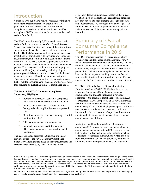### <span id="page-2-0"></span>Introduction

Consistent with our *Trust through Transparency* initiative, this Federal Deposit Insurance Corporation (FDIC) publication provides an overview of the consumer compliance supervision activities and issues identified through the FDIC's supervision of state non-member banks and thrifts in 2019.

The FDIC supervises nearly 3,500 state-chartered banks and thrifts that are not members of the Federal Reserve System (supervised institutions). Most of these institutions are community banks that provide credit and services locally. The FDIC is responsible for evaluating supervised institutions for compliance with consumer protection, antidiscrimination, and community reinvestment laws, among other duties.<sup>1</sup> The FDIC conducts supervisory activities, including examinations, to review institutions' compliance posture. The consumer compliance examination program focuses on identifying, addressing, and mitigating the greatest potential risks to consumers, based on the business model and products offered by a particular institution. The supervisory approach apportions resources to areas of higher risk for consumer harm, financial or otherwise, rather than focusing on evaluating technical compliance issues.

#### **This issue of the FDIC Consumer Compliance Supervisory Highlights:**

- Provides an overview of consumer compliance performance of supervised institutions in 2019;
- Includes supervisory observations regarding findings related to applicable consumer protection laws;
- Identifies examples of practices that may be useful in mitigating risks;<sup>2</sup>
- Addresses regulatory developments; and
- Summarizes resources and information the FDIC makes available to supervised financial institutions.

The legal violations discussed in this issue and in any previous issues of the FDIC Consumer Compliance Supervisory Highlights are based on the particular facts and circumstances observed by the FDIC in the course

of its individual examinations. A conclusion that a legal violation exists on the facts and circumstances described here may not lead to such a finding under different facts and circumstances. The finding of a violation requires an individualized analysis of applicable law, and the facts and circumstances of the act or practice at a particular institution.

## Summary of Overall Consumer Compliance Performance in 2019

The FDIC conducts periodic risk-based examinations of supervised institutions for compliance with over 30 federal consumer protection laws and regulations. In 2019, the FDIC conducted over 1,150 consumer compliance examinations, using a risk-focused process, based on the potential for bank consumer compliance deficiencies to have an adverse impact on banking customers. Overall, supervised institutions demonstrated strong and effective management of their consumer compliance responsibilities.

The FDIC utilizes the Federal Financial Institutions Examination Council's (FFIEC) Uniform Interagency Consumer Compliance Rating System to conduct examinations and evaluate supervised institutions' adherence to the consumer compliance requirements. As of December 31, 2019, 99 percent of all FDIC-supervised institutions were rated satisfactory or better for consumer compliance ("1" or "2"). The high percentage of institutions rated satisfactory or better for consumer compliance indicates that the vast majority of supervised institutions maintain effective programs to manage their consumer compliance responsibilities.

Institutions rated less than satisfactory for consumer compliance ("3" or more adverse) demonstrated overall compliance management system (CMS) weaknesses and had violations of law with potential or actual impact on consumers. Weaknesses in institutions' CMSs can stem from programmatic deficiencies potentially resulting in violations of consumer protection laws and regulations.

<sup>1</sup> The FDIC is responsible for maintaining stability and public confidence in the nation's financial system by insuring deposits, examining and supervising financial institutions for safety and soundness and consumer protection, making large and complex financial institutions resolvable, and managing receiverships. With regard to state non-member banks with assets of \$10 billion or less, the FDIC has primary examination authority over these institutions' compliance with all consumer protection laws and regulations. With regard to state non-member banks with more than \$10 billion in assets, the FDIC shares examination authority with the Consumer Financial Protection Bureau (CFPB).

<sup>2</sup> Institutions are encouraged to tailor their compliance programs to their particular business model and products and may employ approaches to mitigate risks different from those discussed in this publication.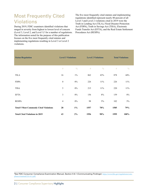# <span id="page-3-0"></span>Most Frequently Cited **Violations**

During 2019, FDIC examiners identified violations that ranged in severity from highest to lowest level of concern (Level 3, Level 2, and Level  $1$ )<sup>3</sup> for a number of regulations. The information noted for the purpose of this publication focuses on the five most frequently cited statutes and implementing regulations resulting in Level 3 or Level 2 violations.

The five most frequently cited statutes and implementing regulations identified represent nearly 80 percent of all Level 3 and Level 2 violations cited in 2019 were the Truth in Lending Act (TILA), Flood Disaster Protection Act (FDPA), Truth in Savings Act (TISA), Electronic Funds Transfer Act (EFTA), and the Real Estate Settlement Procedures Act (RESPA).

| <b>Statue/Regulation</b>                      | <b>Level 3 Violations</b> |               | <b>Level 2 Violations</b> |               | <b>Total Violations</b> |               |
|-----------------------------------------------|---------------------------|---------------|---------------------------|---------------|-------------------------|---------------|
|                                               | $\#$                      | $\frac{0}{0}$ | #                         | $\frac{0}{0}$ | #                       | $\frac{0}{0}$ |
| <b>TILA</b>                                   | 16                        | $1\%$         | 862                       | 43%           | 878                     | 44%           |
| <b>FDPA</b>                                   | $\boldsymbol{0}$          | $0\%$         | 226                       | 11%           | 226                     | 11%           |
| <b>TISA</b>                                   | 5                         | $0\%$         | 215                       | 11%           | 220                     | 11%           |
| <b>EFTA</b>                                   | 3                         | $0\%$         | 156                       | 8%            | 159                     | $8\%$         |
| <b>RESPA</b>                                  | $\overline{4}$            | $0\%$         | 98                        | 5%            | 102                     | $5\%$         |
| <b>Total 5 Most Commonly Cited Violations</b> | 28                        | $1\%$         | 1557                      | 78%           | 1585                    | 79%           |
| <b>Total Cited Violations in 2019</b>         | 43                        | 2%            | 1956                      | 98%           | 1999                    | 100%          |

3 See FDIC Consumer Compliance Examination Manual, Section II-6.1 (Communicating Findings): [https://www.fdic.gov/regulations/com](https://www.fdic.gov/regulations/compliance/manual/2/ii-6.1.pdf)[pliance/manual/2/ii-6.1.pdf](https://www.fdic.gov/regulations/compliance/manual/2/ii-6.1.pdf).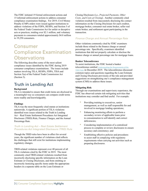<span id="page-4-0"></span>The FDIC initiated 19 formal enforcement actions and 15 informal enforcement actions to address consumer compliance examination findings. For 2019, Civil Money Penalty (CMP) orders were issued against institutions to address violations of the FDPA, RESPA, and Section 5 of the Federal Trade Commission Act for unfair or deceptive acts or practices, totaling over \$2.1 million, and voluntary payments to consumers totaled approximately \$4.8 million to 19,250 consumers.

## Consumer Compliance Examination **Observations**

The following describes some of the most salient compliance issues identified by the FDIC during 2019 consumer compliance examinations. The issues include matters involving TILA, RESPA, FDPA, TISA and Section 5(a) of the Federal Trade Commission Act (Section 5).

### Truth in Lending Act

### **Background**

TILA is intended to ensure that credit items are disclosed in a meaningful way so consumers can compare credit terms more readily and knowledgeably.

### **Findings**

TILA was the most frequently cited statute at institutions nationwide. A significant portion of TILA violations identified were issues related to the Truth in Lending Act – Real Estate Settlement Procedures Act Integrated Disclosure (TRID) Rule, Finance Charges, and the Annual Percentage Rate.

### *Truth in Lending Act – Real Estate Settlement Procedures Act Integrated Disclosure (TRID) Rule*

Though the TRID rules have been in effect for several years, the significant number of violations cited reflects the challenges that still exist for institutions implementing regulatory changes.

TRID-related violations represent over 40 percent of all TILA violations cited by the FDIC in 2019. The most commonly cited TRID-related violations resulted from incorrectly disclosing specific information on the Loan Estimate or Closing Disclosure, and from omitting or incorrectly itemizing specific items under the appropriate headers in a separate table on the Loan Estimate or

Closing Disclosure (i.e., *Projected Payments, Other Costs, and Costs at Closing*). Another commonly cited violation resulted from inaccurately disclosing the contact information on the Closing Disclosure for each creditor, mortgage broker, consumer real estate broker, seller real estate broker, and settlement agent participating in the transaction.

### *Finance Charge and Annual Percentage Rate*

Other violations commonly cited by FDIC examiners include those related to the finance charge or annual percentage rate. Specifically, examiners identified institutions that did not properly calculate or disclose the finance charge or annual percentage rate for mortgage loans.

### **Banker Teleconference**

To assist institutions, the FDIC hosted a banker teleconference entitled Understanding the Requirements of the [TRID Rule](https://www.fdic.gov/news/conferences/otherevents/2019-12-11-banker-teleconference-series.html) in December 2019. The teleconference discussed common topics and questions regarding the Loan Estimate and Closing Disclosure provisions of the rule and provided suggestions on strengthening one's compliance management system (CMS) to address these issues.

### **Mitigating Risk**

Through our examinations and supervisory experience, the FDIC has observed certain risk-mitigating activities that institutions may consider and find useful. For example:

- Providing training to executives, senior management, as well as staff responsible for and involved in mortgage lending operations;
- Enhancing monitoring efforts to perform a secondary review of applicable loans prior to consummation to self-identify and correct deficiencies;
- Considering implementation of a centralized process to complete or review disclosures to ensure accuracy and consistency; and
- Establishing effective policies and procedures to assist staff in complying with regulatory requirements when carrying out activities such as preparing disclosures.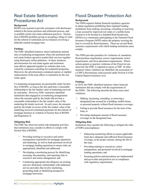### <span id="page-5-0"></span>Real Estate Settlement Procedures Act

### **Background**

RESPA was enacted to provide consumers with disclosures related to the home purchase and settlement process, and to prohibit certain real estate settlement practices. Section 8(a) of RESPA prohibits giving or accepting a thing of value for the referral of settlement service business involving a federally-related mortgage loan.

#### **Findings**

The FDIC identified instances where institutions entered into co-marketing arrangements where the institution and real estate brokers agreed to market their services together using third-party online platforms. In these instances, advertisements for real estate agents and institution loan officers appeared together on websites that were visited by consumers searching for residential properties. Moreover, the advertisements contained express or implied endorsements of the loan officer or institution by the real estate agent.

Co-marketing arrangements are permissible under Section 8(c) of RESPA, so long as the fees paid bear a reasonable relationship to the fair market value of marketing received by each party. However, FDIC examiners identified institutions that engaged in co-marketing arrangements where the amounts paid by the lender did not bear a reasonable relationship to the fair market value of the marketing the lender received. In such cases, the amounts paid by the lender in excess of the fair market value of the marketing received constituted payments for the referral of mortgage business in violation of Section 8(a) of RESPA and Regulation X.

### **Mitigating Risk**

The FDIC has observed certain risk-mitigating activities that institutions may consider in efforts to comply with Section 8(a) of RESPA:

- Providing training to executive and senior management responsible for mortgage operations and marketing, as well as bank personnel involved in mortgage lending operations to ensure risks are appropriately identified and addressed;
- Developing a monitoring process for identifying, assessing, documenting, and reporting risks to executive and senior management; and
- Conducting appropriate due diligence on existing and new third-party relationships with settlement service providers that involve marketing, generating leads or identifying prospective mortgage borrowers.

### Flood Disaster Protection Act

### **Background**

The FDPA requires federal financial regulatory agencies to adopt regulations prohibiting their regulated lending institutions from making, increasing, extending or renewing a loan secured by improved real estate or a mobile home located or to be located in a standard flood hazard area (SFHA) in a community participating in the National Flood Insurance Program (NFIP) unless the property securing the loan is covered by flood insurance. There are several flood insurance requirements with which lending institutions must comply.

The FDPA provides penalties for violations of: mandatory flood purchase requirement, escrow requirements, notice requirements, and force placement requirements. Where certain pattern or practice violations of the Flood Act are observed, the FDIC is required to assess a CMP. In other instances where violations are identified, the assessment of a CMP is discretionary (and assessed under Section 8 of the Federal Deposit Insurance Act).

### **Findings**

In 2019, the FDIC identified instances where financial institutions did not comply with the requirements of the FDPA. The following describe the three most cited violations:

- **1.** Making, increasing, extending, or renewing a designated loan secured by a building, mobile home, or personal property without flood insurance coverage;
- **2.** Failing to provide flood insurance for the term of the loan; or
- **3.** Providing inadequate amount of flood insurance coverage on the designated loan.

#### **Mitigating Risk**

Institutions may consider the following to mitigate the risks of FDPA noncompliance:

- Enhancing monitoring efforts to ensure applicable loans have adequate and sufficient flood insurance coverage, in the proper amount, during the life of the loan;
- Providing training to executives, senior management, and personnel involved in mortgage lending operations; and
- Ensuring policies and procedures are implemented and up-to-date and practices are in compliance with regulatory requirements.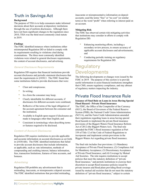### <span id="page-6-0"></span>Truth in Savings Act

#### **Background**

The purpose of TISA is to help consumers make informed decisions about their accounts at depository institutions through the use of uniform disclosures. Although there have not been significant changes to the regulation since 2010, TISA was the third most commonly cited statute in 2019.

### **Findings**

The FDIC identified instances where institutions either misinterpreted Regulation DD or failed to comply with its requirements resulting in violations cited during examinations. The three most commonly identified violations were related to general disclosure requirements, the content of account disclosures, and advertising.

### *General Disclosure Requirements*

Regulation DD requires that financial institutions provide account disclosures and periodic statement disclosures that meet the requirements in §1030.3. The FDIC found that some institutions failed to provide disclosures that were:

- Clear and conspicuous;
- In writing;
- In a form the consumer may keep;
- Clearly identifiable for different accounts, if disclosures for different accounts were combined;
- Reflective of the terms of the legal obligation of the account agreement between the consumer and the institution;
- Available in English upon request if disclosures are made in languages other than English; and
- Consistent in terminology when describing terms or features required to be disclosed.

### *Content of Account Disclosures*

Regulation DD requires institutions to provide applicable and accurate information on account disclosures as set forth in §1030.4(b). The FDIC identified institutions that failed to provide account disclosures that include information, as applicable, such as: rate information, methods of compounding and crediting interest, balance information, fees, transaction limitations, features of time accounts, and bonuses.

### *Advertising*

Regulation DD prohibits any advertisement that is misleading, inaccurate, or misrepresents a deposit account. The FDIC identified institutions that provided misleading,

inaccurate or misrepresentative information on deposit accounts; used the terms "free" or "no cost" (or similar term) or the word "profit" when referring to interest paid on an account.

### **Mitigating Risk**

The FDIC has observed certain risk-mitigating activities that institutions may consider in efforts to comply with Regulation DD:

- Enhancing monitoring efforts, including a secondary review process, to ensure accuracy of applicable account disclosures and advertisements; and
- Conducting periodic training on regulatory requirements for Regulation DD.

### Regulatory Developments

The following developments or changes were issued by the FDIC in 2019. The purpose of this section is to provide useful information to assist financial institutions strengthen their CMS, ensure regulatory compliance, and stay abreast of regulatory matters impacting the industry.

### Private Flood Insurance Rule

### **Issuance of Final Rule on Loans in Areas Having Special Flood Hazard - Private Flood Insurance**

The FDIC, the Office of the Comptroller of the Currency (OCC), the Board of Governors of the Federal Reserve System (FRB), the National Credit Union Administration (NCUA), and the Farm Credit Administration amended their regulations regarding loans in areas having special flood hazards to implement the private flood insurance provisions of the Biggert-Waters Flood Insurance Reform Act of 2012 (the Biggert-Waters Act). The final rule amended the FDIC's flood insurance regulation at Part 339 of Title 12 of the Code of Federal Regulations to incorporate and implement certain provisions in the Biggert-Waters Act regarding private flood insurance.

The final rule includes four provisions: (1) Mandatory Acceptance of Private Flood Insurance; (2) Compliance Aid for Mandatory Acceptance; (3) Discretionary Acceptance of Private Flood Insurance; and (4) Coverage by Mutual Aid Societies. The rule requires institutions to accept policies that meet the statutory definition of "private flood insurance," and permits institutions to exercise their discretion to accept flood insurance policies issued by private insurers and flood plans providing flood coverage issued by mutual aid societies that do not meet the statutory definition of "private flood insurance," subject to certain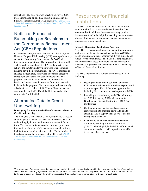<span id="page-7-0"></span>restrictions. The final rule was effective on July 1, 2019. More information on this final rule is highlighted in the Financial Institution Letter (FIL) issued (*[FIL-8-2019 Issuance](https://www.fdic.gov/news/news/financial/2019/fil19009.html)  [of Final Rule on Loans in Areas Having Special Flood Hazards—Private](https://www.fdic.gov/news/news/financial/2019/fil19009.html)  [Flood Insurance\)](https://www.fdic.gov/news/news/financial/2019/fil19009.html).*

### Notice of Proposed Rulemaking on Revisions to the Community Reinvestment Act (CRA) Regulations

In December 2019, the FDIC and the OCC issued a joint Notice of Proposed Rulemaking (NPR) to comprehensively amend the Community Reinvestment Act's (CRA) implementing regulations. The proposed revisions would seek to modernize and update CRA regulations to better achieve the statute's underlying purpose of encouraging banks to serve their communities. The NPR is intended to enhance the regulatory framework to be more objective, transparent, consistent, and easy to understand. The proposed rule would allow banks with \$500 million or less in total assets to opt in to the performance standards included in the proposal. The comment period was initially schedule to end on March 9, 2020 but a 30-day extension was provided by the FDIC and the OCC, extending the period until April 8, 2020.

### Alternative Data in Credit Underwriting

### **Interagency Statement on the Use of Alternative Data in Credit Underwriting**

The FDIC, the CFPB, the OCC, FRB, and the NCUA issued an interagency statement on the use of alternative data<sup>4</sup> in underwriting by banks, credit union, and nonbank financial firms. The statement focuses on the consumer protection implications of the use of alternative data in underwriting, highlighting potential benefits and risks. The highlights of this statement can be referenced in the FIL issued (*[FIL-82-](https://www.fdic.gov/news/news/financial/2019/fil19082.html) [2019 Interagency Statement on the Use of Alternative Data in Credit](https://www.fdic.gov/news/news/financial/2019/fil19082.html)  [Underwriting](https://www.fdic.gov/news/news/financial/2019/fil19082.html)).*

# Resources for Financial **Institutions**

The FDIC provides resources for financial institutions to support their efforts to serve and meet the needs of their communities. In addition, these resources may provide information found to be helpful in assisting institutions stay abreast of regulatory developments and provide guidance on consumer compliance topics.

### **Minority Depository Institutions Program**

The FDIC has a continued interest in supporting, promoting and preserving Minority Depository Institutions (MDIs). MDIs often promote the economic viability of minority and under-served communities. The FDIC has long recognized the importance of these institutions and has historically taken steps to preserve and encourage minority ownership of insured financial institutions.

The FDIC implemented a number of initiatives in 2019, including:

- Hosting roundtables between MDIs and other FDIC-supervised institutions to share expertise and to promote possible collaborative opportunities, including direct investments and deposits in MDIs;
- Publishing a research study on MDIs and hosting the 2019 Interagency MDI and Community Development Financial Institution (CDFI) Bank Conference;
- Continuing to provide technical assistance to groups seeking to organize new MDIs, and to existing MDIs to support their efforts to acquire failing institutions; and
- Establishing a new MDI subcommittee on the Community Banking Advisory Committee (CBAC) to both highlight the MDIs' efforts in their communities and to provide a platform for MDIs to exchange best practices.

4 The Interagency Statement notes that alternative data is information not typically found in the consumer credit files of the nationwide consumer reporting agencies or customarily provided by consumers as part of applications for credit. The statement applies to the use of consumer data in the credit process rather than the furnishing, compilation, or transfer of such data.